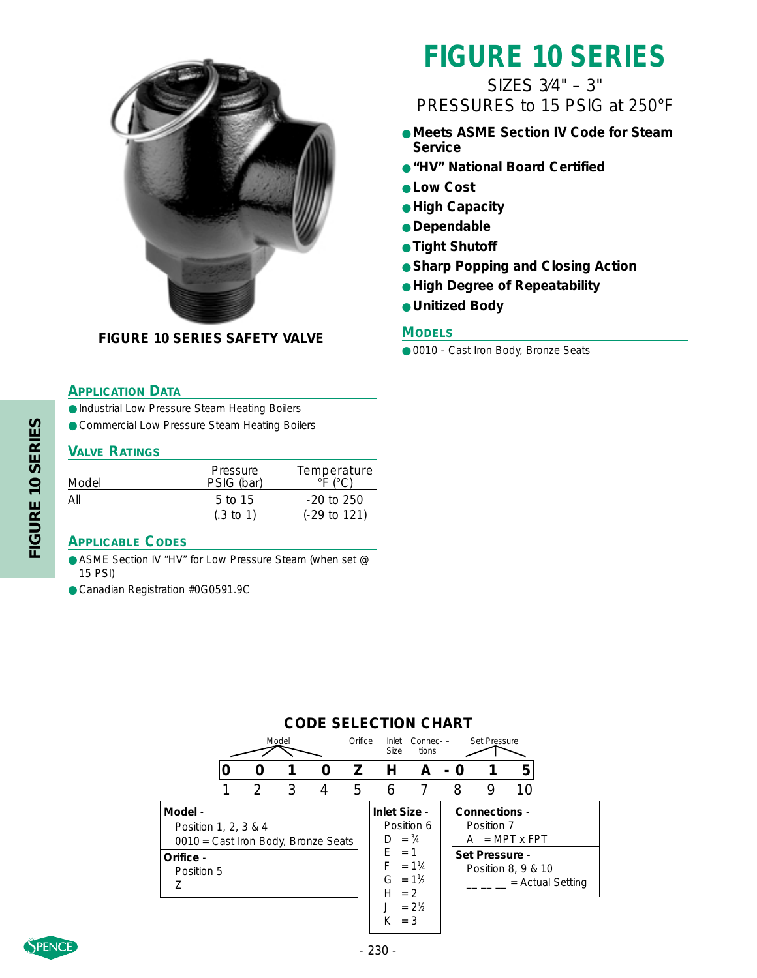

### **FIGURE 10 SERIES SAFETY VALVE**

### **APPLICATION DATA**

● Industrial Low Pressure Steam Heating Boilers

● Commercial Low Pressure Steam Heating Boilers

### **VALVE RATINGS**

| Model | Pressure<br>PSIG (bar)            | Temperature<br>$\circ$ F ( $\circ$ C)   |
|-------|-----------------------------------|-----------------------------------------|
| Αll   | $5$ to 15<br>$(.3 \text{ to } 1)$ | $-20$ to 250<br>$(-29 \text{ to } 121)$ |

### **APPLICABLE CODES**

- ASME Section IV "HV" for Low Pressure Steam (when set @ 15 PSI)
- Canadian Registration #0G0591.9C

# **FIGURE 10 SERIES**

### SIZES 3⁄4" – 3" PRESSURES to 15 PSIG at 250°F

- **Meets ASME Section IV Code for Steam Service**
- **"HV" National Board Certified**
- **Low Cost**
- **High Capacity**
- **Dependable**
- **Tight Shutoff**
- **Sharp Popping and Closing Action**
- **High Degree of Repeatability**
- **Unitized Body**

### **MODELS**

● 0010 - Cast Iron Body, Bronze Seats

|                                                                                     | Model |               |   | Orifice        | <b>Size</b> | tions                                        |                           | Inlet Connec- - Set Pressure |                                               |                      |                    |
|-------------------------------------------------------------------------------------|-------|---------------|---|----------------|-------------|----------------------------------------------|---------------------------|------------------------------|-----------------------------------------------|----------------------|--------------------|
|                                                                                     |       |               |   | 0              |             | Z H                                          | $\mathsf{A}$              | - 0                          |                                               | 5                    |                    |
|                                                                                     |       | $\mathcal{D}$ | 3 | $\overline{4}$ | 5           | 6                                            |                           | 8                            | 9                                             | 10                   |                    |
| Model -<br>Position 1, 2, 3 & 4<br>0010 = Cast Iron Body, Bronze Seats<br>Orifice - |       |               |   |                |             | Inlet Size -<br>$D = \frac{3}{4}$<br>$F = 1$ | Position 6                |                              | Connections -<br>Position 7<br>Set Pressure - | $A = MPT \times FPT$ |                    |
| Position 5                                                                          |       |               |   |                |             | $F = 1\frac{1}{4}$<br>$G = 1\%$<br>$H = 2$   | $= 2\frac{1}{6}$<br>$=$ 3 |                              |                                               | Position 8, 9 & 10   | $=$ Actual Setting |

**CODE SELECTION CHART**